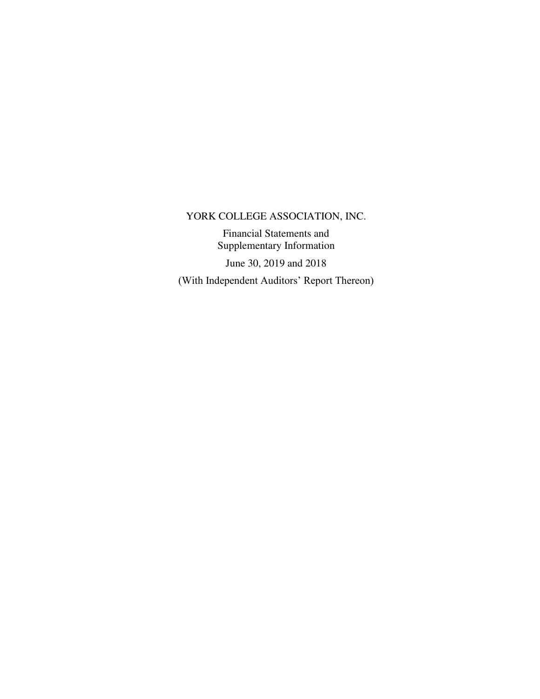Financial Statements and Supplementary Information June 30, 2019 and 2018

(With Independent Auditors' Report Thereon)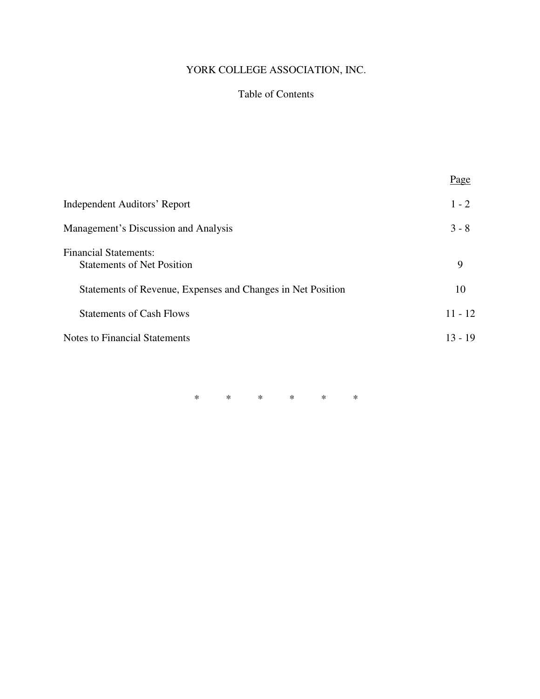## Table of Contents

|                                                                   | Page      |
|-------------------------------------------------------------------|-----------|
| <b>Independent Auditors' Report</b>                               | $1 - 2$   |
| Management's Discussion and Analysis                              | $3 - 8$   |
| <b>Financial Statements:</b><br><b>Statements of Net Position</b> | 9         |
| Statements of Revenue, Expenses and Changes in Net Position       | 10        |
| <b>Statements of Cash Flows</b>                                   | $11 - 12$ |
| <b>Notes to Financial Statements</b>                              | $13 - 19$ |
|                                                                   |           |

\* \* \* \* \* \*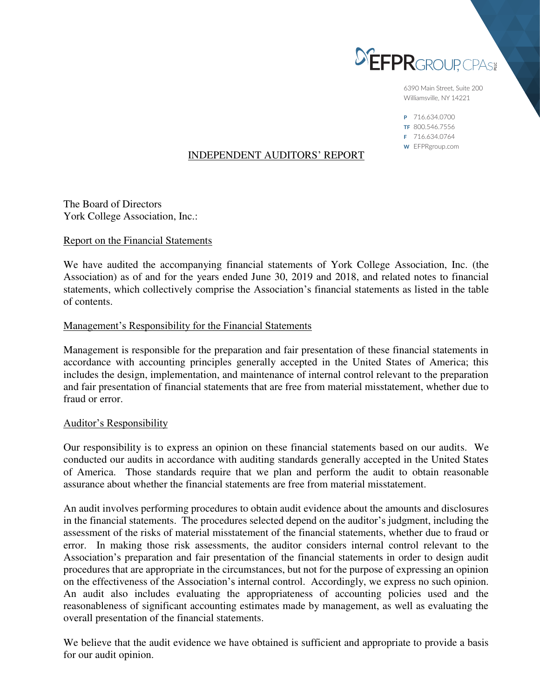

6390 Main Street, Suite 200 Williamsville, NY 14221

P 716.634.0700 TF 800.546.7556 F 716.634.0764 W EFPRgroup.com

## INDEPENDENT AUDITORS' REPORT

The Board of Directors York College Association, Inc.:

#### Report on the Financial Statements

We have audited the accompanying financial statements of York College Association, Inc. (the Association) as of and for the years ended June 30, 2019 and 2018, and related notes to financial statements, which collectively comprise the Association's financial statements as listed in the table of contents.

### Management's Responsibility for the Financial Statements

Management is responsible for the preparation and fair presentation of these financial statements in accordance with accounting principles generally accepted in the United States of America; this includes the design, implementation, and maintenance of internal control relevant to the preparation and fair presentation of financial statements that are free from material misstatement, whether due to fraud or error.

#### Auditor's Responsibility

Our responsibility is to express an opinion on these financial statements based on our audits. We conducted our audits in accordance with auditing standards generally accepted in the United States of America. Those standards require that we plan and perform the audit to obtain reasonable assurance about whether the financial statements are free from material misstatement.

An audit involves performing procedures to obtain audit evidence about the amounts and disclosures in the financial statements. The procedures selected depend on the auditor's judgment, including the assessment of the risks of material misstatement of the financial statements, whether due to fraud or error. In making those risk assessments, the auditor considers internal control relevant to the Association's preparation and fair presentation of the financial statements in order to design audit procedures that are appropriate in the circumstances, but not for the purpose of expressing an opinion on the effectiveness of the Association's internal control. Accordingly, we express no such opinion. An audit also includes evaluating the appropriateness of accounting policies used and the reasonableness of significant accounting estimates made by management, as well as evaluating the overall presentation of the financial statements.

We believe that the audit evidence we have obtained is sufficient and appropriate to provide a basis for our audit opinion.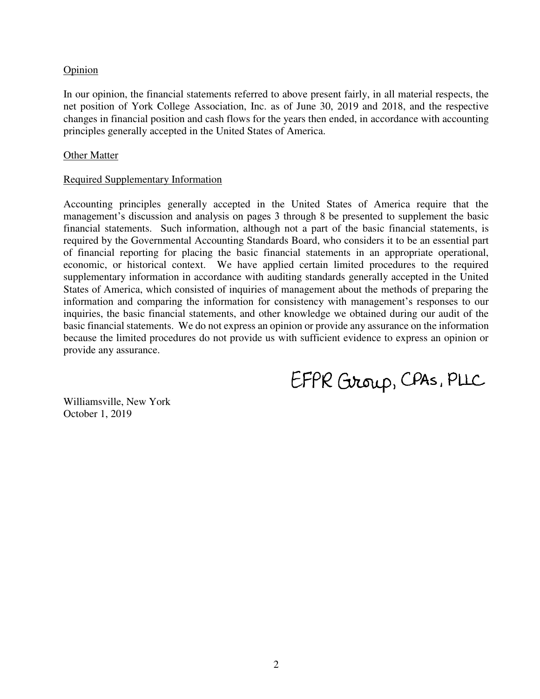## **Opinion**

In our opinion, the financial statements referred to above present fairly, in all material respects, the net position of York College Association, Inc. as of June 30, 2019 and 2018, and the respective changes in financial position and cash flows for the years then ended, in accordance with accounting principles generally accepted in the United States of America.

## Other Matter

## Required Supplementary Information

Accounting principles generally accepted in the United States of America require that the management's discussion and analysis on pages 3 through 8 be presented to supplement the basic financial statements. Such information, although not a part of the basic financial statements, is required by the Governmental Accounting Standards Board, who considers it to be an essential part of financial reporting for placing the basic financial statements in an appropriate operational, economic, or historical context. We have applied certain limited procedures to the required supplementary information in accordance with auditing standards generally accepted in the United States of America, which consisted of inquiries of management about the methods of preparing the information and comparing the information for consistency with management's responses to our inquiries, the basic financial statements, and other knowledge we obtained during our audit of the basic financial statements. We do not express an opinion or provide any assurance on the information because the limited procedures do not provide us with sufficient evidence to express an opinion or provide any assurance.

EFPR Group, CPAS, PLLC

Williamsville, New York October 1, 2019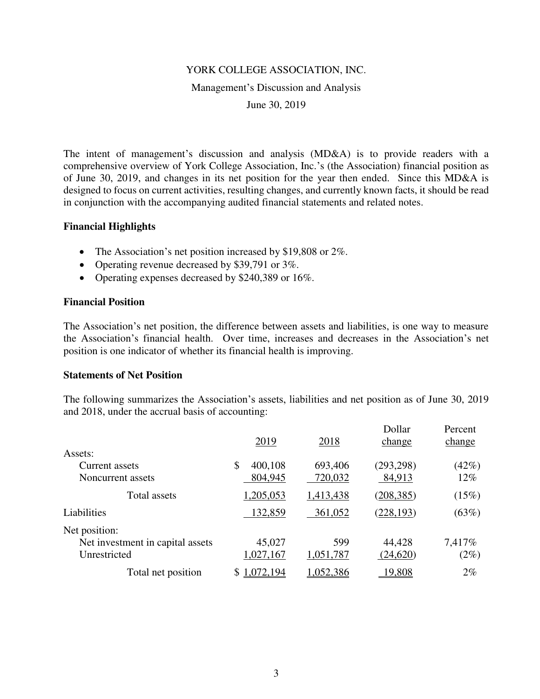Management's Discussion and Analysis

June 30, 2019

The intent of management's discussion and analysis (MD&A) is to provide readers with a comprehensive overview of York College Association, Inc.'s (the Association) financial position as of June 30, 2019, and changes in its net position for the year then ended. Since this MD&A is designed to focus on current activities, resulting changes, and currently known facts, it should be read in conjunction with the accompanying audited financial statements and related notes.

### **Financial Highlights**

- The Association's net position increased by \$19,808 or 2%.
- Operating revenue decreased by \$39,791 or 3%.
- Operating expenses decreased by \$240,389 or 16%.

#### **Financial Position**

The Association's net position, the difference between assets and liabilities, is one way to measure the Association's financial health. Over time, increases and decreases in the Association's net position is one indicator of whether its financial health is improving.

#### **Statements of Net Position**

The following summarizes the Association's assets, liabilities and net position as of June 30, 2019 and 2018, under the accrual basis of accounting:

|                                  | 2019            | 2018      | Dollar<br>change | Percent<br>change |
|----------------------------------|-----------------|-----------|------------------|-------------------|
| Assets:                          |                 |           |                  |                   |
| Current assets                   | \$<br>400,108   | 693,406   | (293, 298)       | (42%)             |
| Noncurrent assets                | 804,945         | 720,032   | 84,913           | 12%               |
| Total assets                     | 1,205,053       | 1,413,438 | (208, 385)       | (15%)             |
| Liabilities                      | 132,859         | 361,052   | (228, 193)       | (63%)             |
| Net position:                    |                 |           |                  |                   |
| Net investment in capital assets | 45,027          | 599       | 44,428           | 7,417%            |
| Unrestricted                     | 1,027,167       | 1,051,787 | (24,620)         | $(2\%)$           |
| Total net position               | 1,072,194<br>\$ | 1,052,386 | 19,808           | $2\%$             |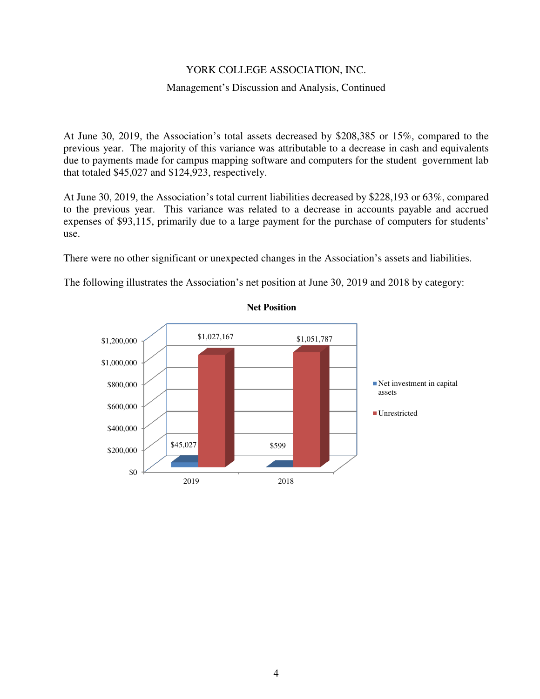### Management's Discussion and Analysis, Continued

At June 30, 2019, the Association's total assets decreased by \$208,385 or 15%, compared to the previous year. The majority of this variance was attributable to a decrease in cash and equivalents due to payments made for campus mapping software and computers for the student government lab that totaled \$45,027 and \$124,923, respectively.

At June 30, 2019, the Association's total current liabilities decreased by \$228,193 or 63%, compared to the previous year. This variance was related to a decrease in accounts payable and accrued expenses of \$93,115, primarily due to a large payment for the purchase of computers for students' use.

There were no other significant or unexpected changes in the Association's assets and liabilities.

The following illustrates the Association's net position at June 30, 2019 and 2018 by category:



**Net Position**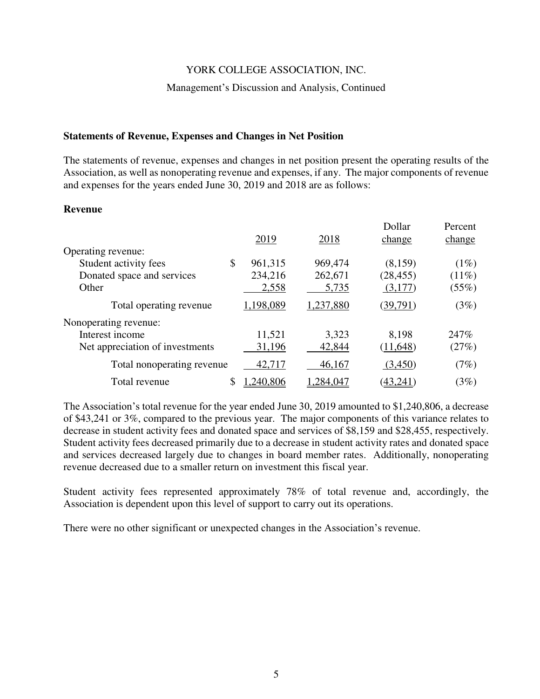### Management's Discussion and Analysis, Continued

### **Statements of Revenue, Expenses and Changes in Net Position**

The statements of revenue, expenses and changes in net position present the operating results of the Association, as well as nonoperating revenue and expenses, if any. The major components of revenue and expenses for the years ended June 30, 2019 and 2018 are as follows:

### **Revenue**

|                                 | 2019           | 2018      | Dollar<br>change | Percent<br>change |
|---------------------------------|----------------|-----------|------------------|-------------------|
| Operating revenue:              |                |           |                  |                   |
| Student activity fees           | \$<br>961,315  | 969,474   | (8,159)          | $(1\%)$           |
| Donated space and services      | 234,216        | 262,671   | (28, 455)        | $(11\%)$          |
| Other                           | 2,558          | 5,735     | (3,177)          | (55%)             |
| Total operating revenue         | 1,198,089      | 1,237,880 | (39,791)         | (3%)              |
| Nonoperating revenue:           |                |           |                  |                   |
| Interest income                 | 11,521         | 3,323     | 8,198            | 247%              |
| Net appreciation of investments | 31,196         | 42,844    | (11, 648)        | (27%)             |
| Total nonoperating revenue      | 42,717         | 46,167    | (3,450)          | (7%)              |
| Total revenue                   | \$<br>,240,806 | ,284,047  | (43,241)         | (3%)              |

The Association's total revenue for the year ended June 30, 2019 amounted to \$1,240,806, a decrease of \$43,241 or 3%, compared to the previous year. The major components of this variance relates to decrease in student activity fees and donated space and services of \$8,159 and \$28,455, respectively. Student activity fees decreased primarily due to a decrease in student activity rates and donated space and services decreased largely due to changes in board member rates. Additionally, nonoperating revenue decreased due to a smaller return on investment this fiscal year.

Student activity fees represented approximately 78% of total revenue and, accordingly, the Association is dependent upon this level of support to carry out its operations.

There were no other significant or unexpected changes in the Association's revenue.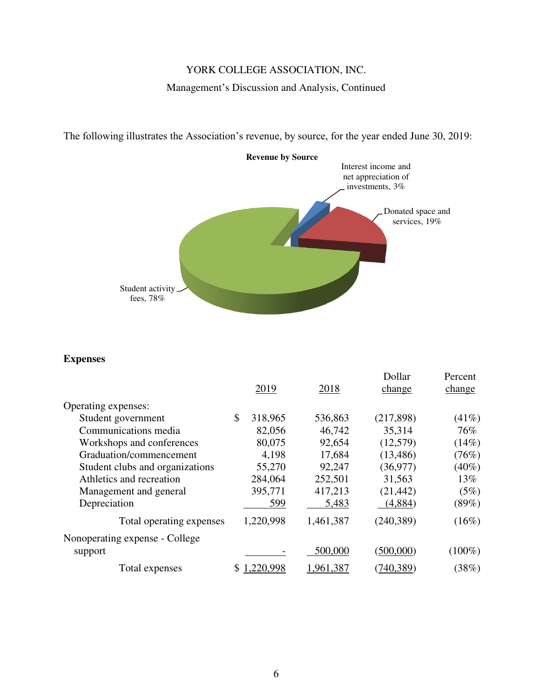Management's Discussion and Analysis, Continued



The following illustrates the Association's revenue, by source, for the year ended June 30, 2019:

## **Expenses**

|                                 | 2019          | 2018      | Dollar<br>change | Percent<br>change |
|---------------------------------|---------------|-----------|------------------|-------------------|
| Operating expenses:             |               |           |                  |                   |
| Student government              | \$<br>318,965 | 536,863   | (217,898)        | $(41\%)$          |
| Communications media            | 82,056        | 46,742    | 35,314           | 76%               |
| Workshops and conferences       | 80,075        | 92,654    | (12,579)         | (14%)             |
| Graduation/commencement         | 4,198         | 17,684    | (13, 486)        | (76%)             |
| Student clubs and organizations | 55,270        | 92,247    | (36,977)         | $(40\%)$          |
| Athletics and recreation        | 284,064       | 252,501   | 31,563           | 13%               |
| Management and general          | 395,771       | 417,213   | (21, 442)        | (5%)              |
| Depreciation                    | 599           | 5,483     | (4,884)          | (89%)             |
| Total operating expenses        | 1,220,998     | 1,461,387 | (240, 389)       | (16%)             |
| Nonoperating expense - College  |               |           |                  |                   |
| support                         |               | 500,000   | (500,000)        | $(100\%)$         |
| Total expenses                  | ,220,998      | 1,961,387 | (740, 389)       | (38%)             |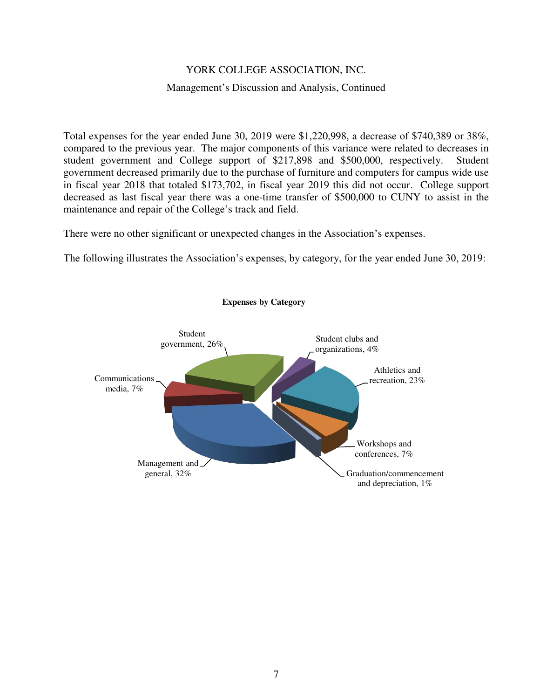### Management's Discussion and Analysis, Continued

Total expenses for the year ended June 30, 2019 were \$1,220,998, a decrease of \$740,389 or 38%, compared to the previous year. The major components of this variance were related to decreases in student government and College support of \$217,898 and \$500,000, respectively. Student government decreased primarily due to the purchase of furniture and computers for campus wide use in fiscal year 2018 that totaled \$173,702, in fiscal year 2019 this did not occur. College support decreased as last fiscal year there was a one-time transfer of \$500,000 to CUNY to assist in the maintenance and repair of the College's track and field.

There were no other significant or unexpected changes in the Association's expenses.

The following illustrates the Association's expenses, by category, for the year ended June 30, 2019:

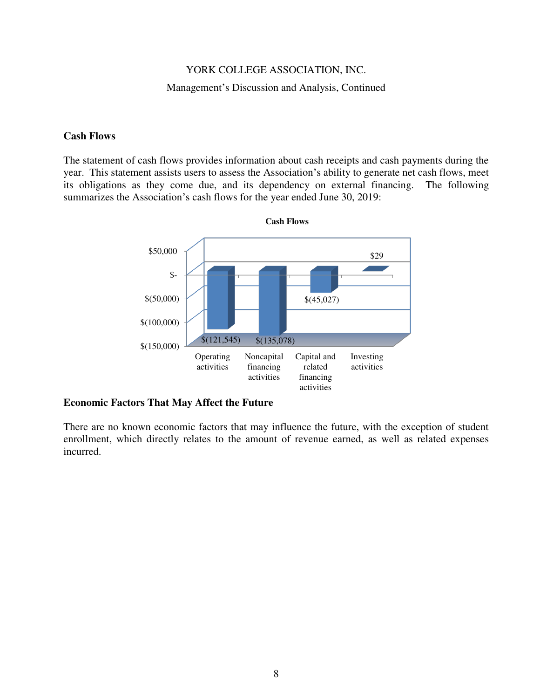Management's Discussion and Analysis, Continued

## **Cash Flows**

The statement of cash flows provides information about cash receipts and cash payments during the year. This statement assists users to assess the Association's ability to generate net cash flows, meet its obligations as they come due, and its dependency on external financing. The following summarizes the Association's cash flows for the year ended June 30, 2019:



## **Economic Factors That May Affect the Future**

There are no known economic factors that may influence the future, with the exception of student enrollment, which directly relates to the amount of revenue earned, as well as related expenses incurred.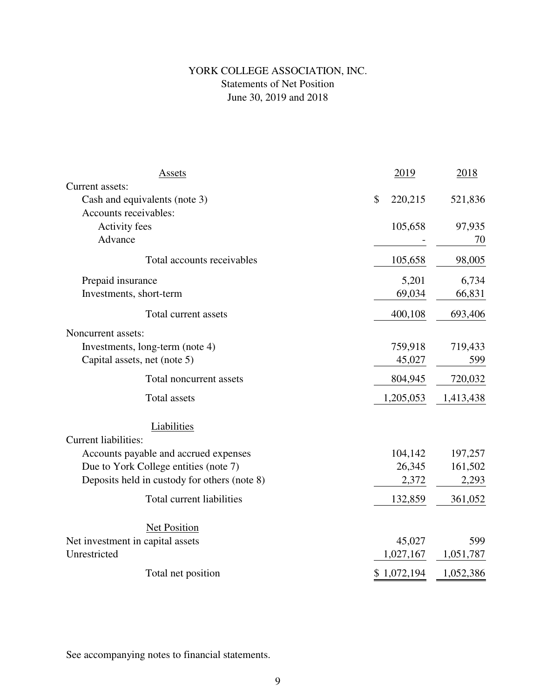# YORK COLLEGE ASSOCIATION, INC. Statements of Net Position June 30, 2019 and 2018

| Assets                                       | 2019          | 2018      |
|----------------------------------------------|---------------|-----------|
| Current assets:                              |               |           |
| Cash and equivalents (note 3)                | \$<br>220,215 | 521,836   |
| Accounts receivables:                        |               |           |
| <b>Activity fees</b>                         | 105,658       | 97,935    |
| Advance                                      |               | 70        |
| Total accounts receivables                   | 105,658       | 98,005    |
| Prepaid insurance                            | 5,201         | 6,734     |
| Investments, short-term                      | 69,034        | 66,831    |
| Total current assets                         | 400,108       | 693,406   |
| Noncurrent assets:                           |               |           |
| Investments, long-term (note 4)              | 759,918       | 719,433   |
| Capital assets, net (note 5)                 | 45,027        | 599       |
| Total noncurrent assets                      | 804,945       | 720,032   |
| Total assets                                 | 1,205,053     | 1,413,438 |
| Liabilities                                  |               |           |
| <b>Current liabilities:</b>                  |               |           |
| Accounts payable and accrued expenses        | 104,142       | 197,257   |
| Due to York College entities (note 7)        | 26,345        | 161,502   |
| Deposits held in custody for others (note 8) | 2,372         | 2,293     |
| <b>Total current liabilities</b>             | 132,859       | 361,052   |
| Net Position                                 |               |           |
| Net investment in capital assets             | 45,027        | 599       |
| Unrestricted                                 | 1,027,167     | 1,051,787 |
| Total net position                           | \$1,072,194   | 1,052,386 |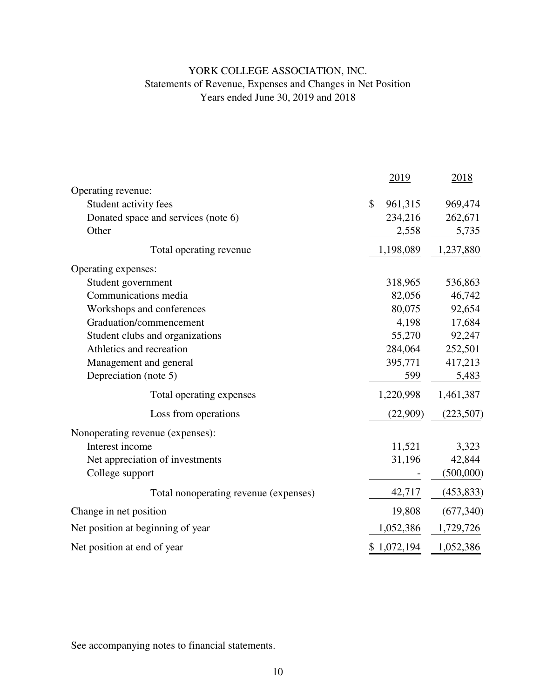# Years ended June 30, 2019 and 2018 YORK COLLEGE ASSOCIATION, INC. Statements of Revenue, Expenses and Changes in Net Position

|                                       | 2019          | 2018       |
|---------------------------------------|---------------|------------|
| Operating revenue:                    |               |            |
| Student activity fees                 | \$<br>961,315 | 969,474    |
| Donated space and services (note 6)   | 234,216       | 262,671    |
| Other                                 | 2,558         | 5,735      |
| Total operating revenue               | 1,198,089     | 1,237,880  |
| Operating expenses:                   |               |            |
| Student government                    | 318,965       | 536,863    |
| Communications media                  | 82,056        | 46,742     |
| Workshops and conferences             | 80,075        | 92,654     |
| Graduation/commencement               | 4,198         | 17,684     |
| Student clubs and organizations       | 55,270        | 92,247     |
| Athletics and recreation              | 284,064       | 252,501    |
| Management and general                | 395,771       | 417,213    |
| Depreciation (note 5)                 | 599           | 5,483      |
| Total operating expenses              | 1,220,998     | 1,461,387  |
| Loss from operations                  | (22,909)      | (223, 507) |
| Nonoperating revenue (expenses):      |               |            |
| Interest income                       | 11,521        | 3,323      |
| Net appreciation of investments       | 31,196        | 42,844     |
| College support                       |               | (500,000)  |
| Total nonoperating revenue (expenses) | 42,717        | (453, 833) |
| Change in net position                | 19,808        | (677, 340) |
| Net position at beginning of year     | 1,052,386     | 1,729,726  |
| Net position at end of year           | \$1,072,194   | 1,052,386  |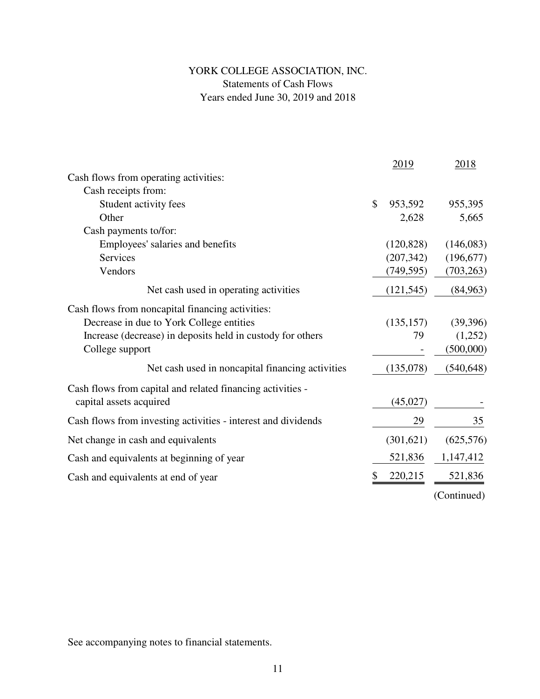# YORK COLLEGE ASSOCIATION, INC. Statements of Cash Flows Years ended June 30, 2019 and 2018

|                                                               | 2019          | 2018        |
|---------------------------------------------------------------|---------------|-------------|
| Cash flows from operating activities:                         |               |             |
| Cash receipts from:                                           |               |             |
| Student activity fees                                         | \$<br>953,592 | 955,395     |
| Other                                                         | 2,628         | 5,665       |
| Cash payments to/for:                                         |               |             |
| Employees' salaries and benefits                              | (120, 828)    | (146,083)   |
| <b>Services</b>                                               | (207, 342)    | (196, 677)  |
| Vendors                                                       | (749, 595)    | (703, 263)  |
| Net cash used in operating activities                         | (121, 545)    | (84,963)    |
| Cash flows from noncapital financing activities:              |               |             |
| Decrease in due to York College entities                      | (135, 157)    | (39, 396)   |
| Increase (decrease) in deposits held in custody for others    | 79            | (1,252)     |
| College support                                               |               | (500,000)   |
| Net cash used in noncapital financing activities              | (135,078)     | (540, 648)  |
| Cash flows from capital and related financing activities -    |               |             |
| capital assets acquired                                       | (45,027)      |             |
| Cash flows from investing activities - interest and dividends | 29            | 35          |
| Net change in cash and equivalents                            | (301,621)     | (625, 576)  |
| Cash and equivalents at beginning of year                     | 521,836       | 1,147,412   |
| Cash and equivalents at end of year                           | \$<br>220,215 | 521,836     |
|                                                               |               | (Continued) |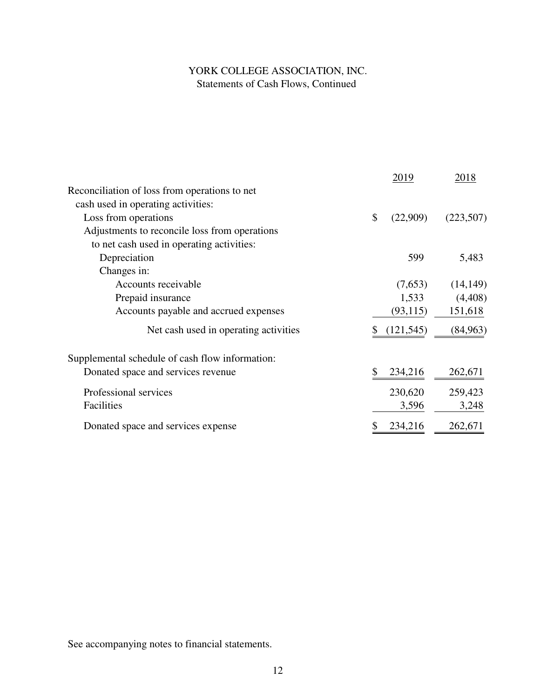# YORK COLLEGE ASSOCIATION, INC. Statements of Cash Flows, Continued

|                                                 | 2019                      | 2018         |
|-------------------------------------------------|---------------------------|--------------|
| Reconciliation of loss from operations to net   |                           |              |
| cash used in operating activities:              |                           |              |
| Loss from operations                            | $\mathcal{S}$<br>(22,909) | (223,507)    |
| Adjustments to reconcile loss from operations   |                           |              |
| to net cash used in operating activities:       |                           |              |
| Depreciation                                    |                           | 599<br>5,483 |
| Changes in:                                     |                           |              |
| Accounts receivable                             | (7,653)                   | (14, 149)    |
| Prepaid insurance                               | 1,533                     | (4,408)      |
| Accounts payable and accrued expenses           | (93, 115)                 | 151,618      |
| Net cash used in operating activities           | (121, 545)<br>\$          | (84, 963)    |
| Supplemental schedule of cash flow information: |                           |              |
| Donated space and services revenue              | \$<br>234,216             | 262,671      |
| Professional services                           | 230,620                   | 259,423      |
| Facilities                                      | 3,596                     | 3,248        |
| Donated space and services expense              | 234,216<br>\$             | 262,671      |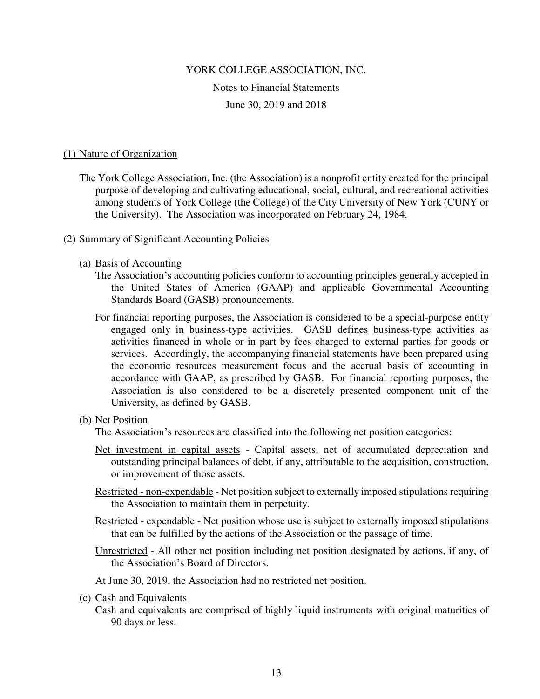#### Notes to Financial Statements

June 30, 2019 and 2018

#### (1) Nature of Organization

 The York College Association, Inc. (the Association) is a nonprofit entity created for the principal purpose of developing and cultivating educational, social, cultural, and recreational activities among students of York College (the College) of the City University of New York (CUNY or the University). The Association was incorporated on February 24, 1984.

#### (2) Summary of Significant Accounting Policies

#### (a) Basis of Accounting

- The Association's accounting policies conform to accounting principles generally accepted in the United States of America (GAAP) and applicable Governmental Accounting Standards Board (GASB) pronouncements.
- For financial reporting purposes, the Association is considered to be a special-purpose entity engaged only in business-type activities. GASB defines business-type activities as activities financed in whole or in part by fees charged to external parties for goods or services. Accordingly, the accompanying financial statements have been prepared using the economic resources measurement focus and the accrual basis of accounting in accordance with GAAP, as prescribed by GASB. For financial reporting purposes, the Association is also considered to be a discretely presented component unit of the University, as defined by GASB.

#### (b) Net Position

The Association's resources are classified into the following net position categories:

- Net investment in capital assets Capital assets, net of accumulated depreciation and outstanding principal balances of debt, if any, attributable to the acquisition, construction, or improvement of those assets.
- Restricted non-expendable Net position subject to externally imposed stipulations requiring the Association to maintain them in perpetuity.
- Restricted expendable Net position whose use is subject to externally imposed stipulations that can be fulfilled by the actions of the Association or the passage of time.
- Unrestricted All other net position including net position designated by actions, if any, of the Association's Board of Directors.

At June 30, 2019, the Association had no restricted net position.

(c) Cash and Equivalents

 Cash and equivalents are comprised of highly liquid instruments with original maturities of 90 days or less.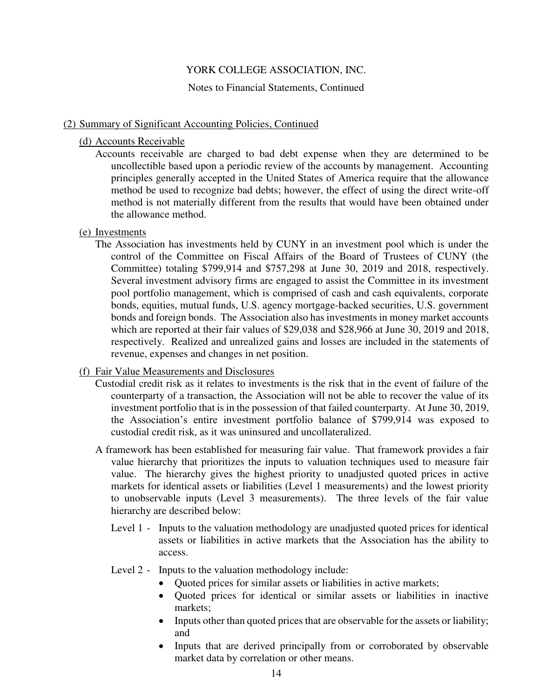#### Notes to Financial Statements, Continued

#### (2) Summary of Significant Accounting Policies, Continued

## (d) Accounts Receivable

 Accounts receivable are charged to bad debt expense when they are determined to be uncollectible based upon a periodic review of the accounts by management. Accounting principles generally accepted in the United States of America require that the allowance method be used to recognize bad debts; however, the effect of using the direct write-off method is not materially different from the results that would have been obtained under the allowance method.

### (e) Investments

 The Association has investments held by CUNY in an investment pool which is under the control of the Committee on Fiscal Affairs of the Board of Trustees of CUNY (the Committee) totaling \$799,914 and \$757,298 at June 30, 2019 and 2018, respectively. Several investment advisory firms are engaged to assist the Committee in its investment pool portfolio management, which is comprised of cash and cash equivalents, corporate bonds, equities, mutual funds, U.S. agency mortgage-backed securities, U.S. government bonds and foreign bonds. The Association also has investments in money market accounts which are reported at their fair values of \$29,038 and \$28,966 at June 30, 2019 and 2018, respectively. Realized and unrealized gains and losses are included in the statements of revenue, expenses and changes in net position.

## (f) Fair Value Measurements and Disclosures

- Custodial credit risk as it relates to investments is the risk that in the event of failure of the counterparty of a transaction, the Association will not be able to recover the value of its investment portfolio that is in the possession of that failed counterparty. At June 30, 2019, the Association's entire investment portfolio balance of \$799,914 was exposed to custodial credit risk, as it was uninsured and uncollateralized.
- A framework has been established for measuring fair value. That framework provides a fair value hierarchy that prioritizes the inputs to valuation techniques used to measure fair value. The hierarchy gives the highest priority to unadjusted quoted prices in active markets for identical assets or liabilities (Level 1 measurements) and the lowest priority to unobservable inputs (Level 3 measurements). The three levels of the fair value hierarchy are described below:
	- Level 1 Inputs to the valuation methodology are unadjusted quoted prices for identical assets or liabilities in active markets that the Association has the ability to access.
	- Level 2 Inputs to the valuation methodology include:
		- Quoted prices for similar assets or liabilities in active markets;
		- Quoted prices for identical or similar assets or liabilities in inactive markets;
		- Inputs other than quoted prices that are observable for the assets or liability; and
		- Inputs that are derived principally from or corroborated by observable market data by correlation or other means.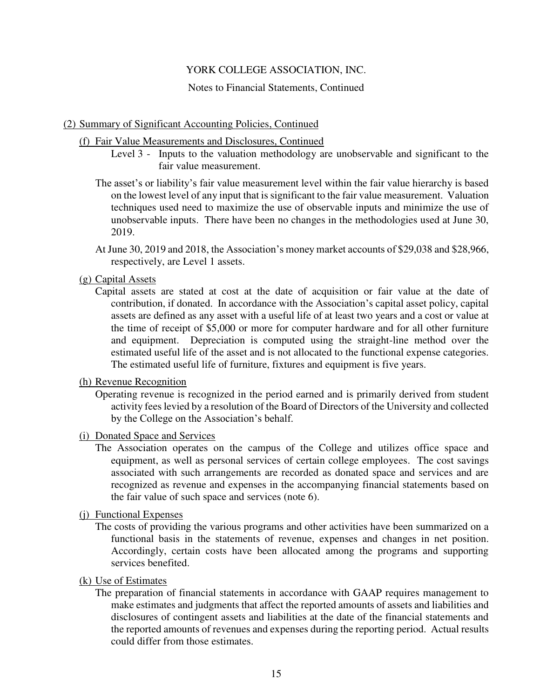## Notes to Financial Statements, Continued

## (2) Summary of Significant Accounting Policies, Continued

- (f) Fair Value Measurements and Disclosures, Continued
	- Level 3 Inputs to the valuation methodology are unobservable and significant to the fair value measurement.
	- The asset's or liability's fair value measurement level within the fair value hierarchy is based on the lowest level of any input that is significant to the fair value measurement. Valuation techniques used need to maximize the use of observable inputs and minimize the use of unobservable inputs. There have been no changes in the methodologies used at June 30, 2019.
	- At June 30, 2019 and 2018, the Association's money market accounts of \$29,038 and \$28,966, respectively, are Level 1 assets.

## (g) Capital Assets

 Capital assets are stated at cost at the date of acquisition or fair value at the date of contribution, if donated. In accordance with the Association's capital asset policy, capital assets are defined as any asset with a useful life of at least two years and a cost or value at the time of receipt of \$5,000 or more for computer hardware and for all other furniture and equipment. Depreciation is computed using the straight-line method over the estimated useful life of the asset and is not allocated to the functional expense categories. The estimated useful life of furniture, fixtures and equipment is five years.

#### (h) Revenue Recognition

 Operating revenue is recognized in the period earned and is primarily derived from student activity fees levied by a resolution of the Board of Directors of the University and collected by the College on the Association's behalf.

#### (i) Donated Space and Services

 The Association operates on the campus of the College and utilizes office space and equipment, as well as personal services of certain college employees. The cost savings associated with such arrangements are recorded as donated space and services and are recognized as revenue and expenses in the accompanying financial statements based on the fair value of such space and services (note 6).

## (j) Functional Expenses

 The costs of providing the various programs and other activities have been summarized on a functional basis in the statements of revenue, expenses and changes in net position. Accordingly, certain costs have been allocated among the programs and supporting services benefited.

## (k) Use of Estimates

 The preparation of financial statements in accordance with GAAP requires management to make estimates and judgments that affect the reported amounts of assets and liabilities and disclosures of contingent assets and liabilities at the date of the financial statements and the reported amounts of revenues and expenses during the reporting period. Actual results could differ from those estimates.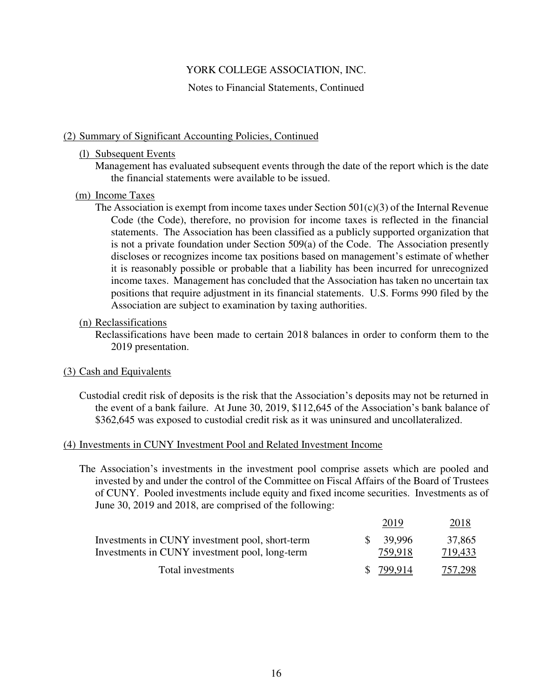### Notes to Financial Statements, Continued

## (2) Summary of Significant Accounting Policies, Continued

#### (l) Subsequent Events

 Management has evaluated subsequent events through the date of the report which is the date the financial statements were available to be issued.

## (m) Income Taxes

The Association is exempt from income taxes under Section  $501(c)(3)$  of the Internal Revenue Code (the Code), therefore, no provision for income taxes is reflected in the financial statements. The Association has been classified as a publicly supported organization that is not a private foundation under Section 509(a) of the Code. The Association presently discloses or recognizes income tax positions based on management's estimate of whether it is reasonably possible or probable that a liability has been incurred for unrecognized income taxes. Management has concluded that the Association has taken no uncertain tax positions that require adjustment in its financial statements. U.S. Forms 990 filed by the Association are subject to examination by taxing authorities.

#### (n) Reclassifications

 Reclassifications have been made to certain 2018 balances in order to conform them to the 2019 presentation.

#### (3) Cash and Equivalents

Custodial credit risk of deposits is the risk that the Association's deposits may not be returned in the event of a bank failure. At June 30, 2019, \$112,645 of the Association's bank balance of \$362,645 was exposed to custodial credit risk as it was uninsured and uncollateralized.

#### (4) Investments in CUNY Investment Pool and Related Investment Income

 The Association's investments in the investment pool comprise assets which are pooled and invested by and under the control of the Committee on Fiscal Affairs of the Board of Trustees of CUNY. Pooled investments include equity and fixed income securities. Investments as of June 30, 2019 and 2018, are comprised of the following:

|                                                 | 2019      | <u>2018</u>    |
|-------------------------------------------------|-----------|----------------|
| Investments in CUNY investment pool, short-term | 39.996    | 37,865         |
| Investments in CUNY investment pool, long-term  | 759.918   | 719,433        |
| Total investments                               | \$799.914 | <u>757,298</u> |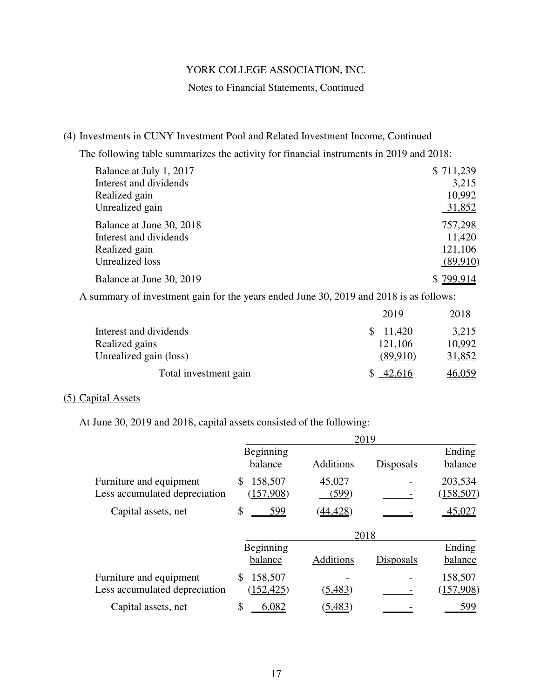## Notes to Financial Statements, Continued

## (4) Investments in CUNY Investment Pool and Related Investment Income, Continued

The following table summarizes the activity for financial instruments in 2019 and 2018:

| Balance at July 1, 2017  | \$711,239 |
|--------------------------|-----------|
| Interest and dividends   | 3,215     |
| Realized gain            | 10,992    |
| Unrealized gain          | 31,852    |
| Balance at June 30, 2018 | 757,298   |
| Interest and dividends   | 11,420    |
| Realized gain            | 121,106   |
| Unrealized loss          | (89,910)  |
| Balance at June 30, 2019 |           |

A summary of investment gain for the years ended June 30, 2019 and 2018 is as follows:

|                        | 2019     | 2018   |
|------------------------|----------|--------|
| Interest and dividends | 11,420   | 3,215  |
| Realized gains         | 121,106  | 10,992 |
| Unrealized gain (loss) | (89,910) | 31,852 |
| Total investment gain  | 42,616   | 46,059 |

## (5) Capital Assets

At June 30, 2019 and 2018, capital assets consisted of the following:

|                                                          | 2019                         |                 |           |                       |
|----------------------------------------------------------|------------------------------|-----------------|-----------|-----------------------|
|                                                          | Beginning<br>balance         | Additions       | Disposals | Ending<br>balance     |
| Furniture and equipment<br>Less accumulated depreciation | 158,507<br>\$<br>(157,908)   | 45,027<br>(599) |           | 203,534<br>(158, 507) |
| Capital assets, net                                      | \$<br>599                    | (44, 428)       |           | 45,027                |
|                                                          |                              | 2018            |           |                       |
|                                                          | Beginning<br>balance         | Additions       | Disposals | Ending<br>balance     |
| Furniture and equipment<br>Less accumulated depreciation | 158,507<br>\$.<br>(152, 425) | (5, 483)        |           | 158,507<br>(157,908)  |
| Capital assets, net                                      | \$<br>6,082                  | (5, 483)        |           | 599                   |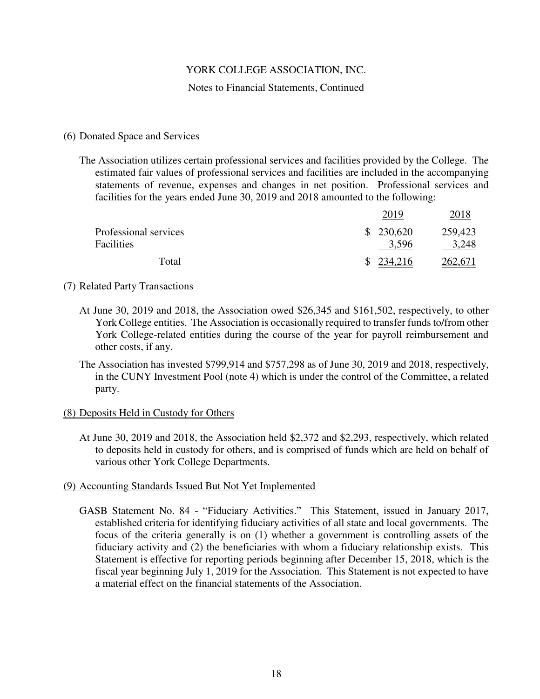## Notes to Financial Statements, Continued

### (6) Donated Space and Services

 The Association utilizes certain professional services and facilities provided by the College. The estimated fair values of professional services and facilities are included in the accompanying statements of revenue, expenses and changes in net position. Professional services and facilities for the years ended June 30, 2019 and 2018 amounted to the following:

|                       | 2019          | 2018           |
|-----------------------|---------------|----------------|
| Professional services | \$230,620     | 259,423        |
| Facilities            | 3,596         | 3,248          |
| Total                 | 234,216<br>S. | <u>262,671</u> |

### (7) Related Party Transactions

- At June 30, 2019 and 2018, the Association owed \$26,345 and \$161,502, respectively, to other York College entities. The Association is occasionally required to transfer funds to/from other York College-related entities during the course of the year for payroll reimbursement and other costs, if any.
- The Association has invested \$799,914 and \$757,298 as of June 30, 2019 and 2018, respectively, in the CUNY Investment Pool (note 4) which is under the control of the Committee, a related party.

## (8) Deposits Held in Custody for Others

 At June 30, 2019 and 2018, the Association held \$2,372 and \$2,293, respectively, which related to deposits held in custody for others, and is comprised of funds which are held on behalf of various other York College Departments.

## (9) Accounting Standards Issued But Not Yet Implemented

 GASB Statement No. 84 - "Fiduciary Activities." This Statement, issued in January 2017, established criteria for identifying fiduciary activities of all state and local governments. The focus of the criteria generally is on (1) whether a government is controlling assets of the fiduciary activity and (2) the beneficiaries with whom a fiduciary relationship exists. This Statement is effective for reporting periods beginning after December 15, 2018, which is the fiscal year beginning July 1, 2019 for the Association. This Statement is not expected to have a material effect on the financial statements of the Association.